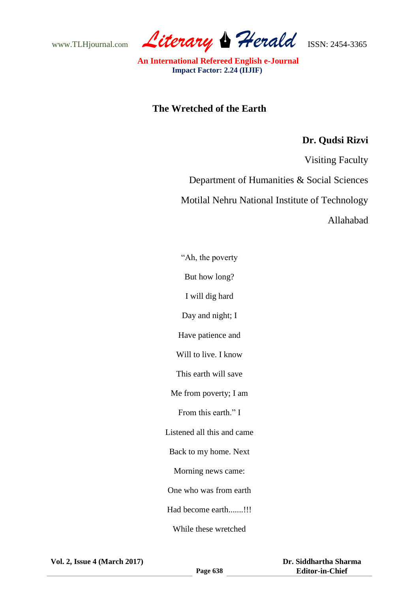www.TLHjournal.com Literary Herald **ISSN: 2454-3365** 

 **An International Refereed English e-Journal Impact Factor: 2.24 (IIJIF)**

## **The Wretched of the Earth**

## **Dr. Qudsi Rizvi**

Visiting Faculty

Department of Humanities & Social Sciences

Motilal Nehru National Institute of Technology

Allahabad

"Ah, the poverty But how long? I will dig hard

Day and night; I

Have patience and

Will to live. I know

This earth will save

Me from poverty; I am

From this earth<sup>"</sup> I

Listened all this and came

Back to my home. Next

Morning news came:

One who was from earth

Had become earth.......!!!

While these wretched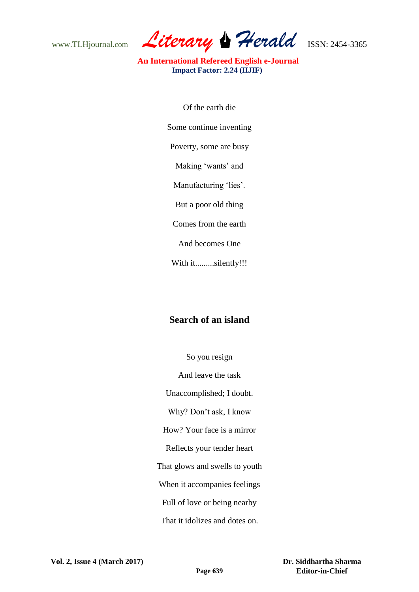www.TLHjournal.com Literary Herald **ISSN: 2454-3365** 

 **An International Refereed English e-Journal Impact Factor: 2.24 (IIJIF)**

> Of the earth die Some continue inventing Poverty, some are busy Making 'wants' and Manufacturing 'lies'. But a poor old thing Comes from the earth And becomes One

With it.........silently!!!

## **Search of an island**

So you resign And leave the task Unaccomplished; I doubt. Why? Don"t ask, I know How? Your face is a mirror Reflects your tender heart That glows and swells to youth When it accompanies feelings Full of love or being nearby That it idolizes and dotes on.